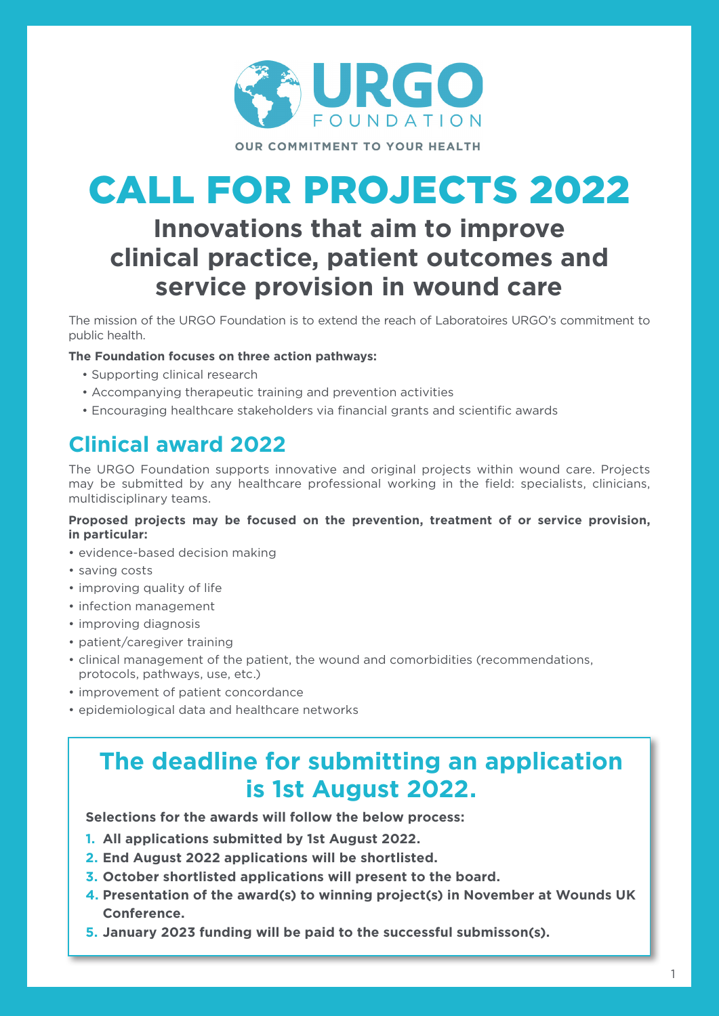

# CALL FOR PROJECTS 2022

# **Innovations that aim to improve clinical practice, patient outcomes and service provision in wound care**

The mission of the URGO Foundation is to extend the reach of Laboratoires URGO's commitment to public health.

#### **The Foundation focuses on three action pathways:**

- Supporting clinical research
- Accompanying therapeutic training and prevention activities
- Encouraging healthcare stakeholders via financial grants and scientific awards

# **Clinical award 2022**

The URGO Foundation supports innovative and original projects within wound care. Projects may be submitted by any healthcare professional working in the field: specialists, clinicians, multidisciplinary teams.

#### **Proposed projects may be focused on the prevention, treatment of or service provision, in particular:**

- evidence-based decision making
- saving costs
- improving quality of life
- infection management
- improving diagnosis
- patient/caregiver training
- clinical management of the patient, the wound and comorbidities (recommendations, protocols, pathways, use, etc.)
- improvement of patient concordance
- epidemiological data and healthcare networks

# **The deadline for submitting an application is 1st August 2022.**

**Selections for the awards will follow the below process:**

- **1. All applications submitted by 1st August 2022.**
- **2. End August 2022 applications will be shortlisted.**
- **3. October shortlisted applications will present to the board.**
- **4. Presentation of the award(s) to winning project(s) in November at Wounds UK Conference.**
- **5. January 2023 funding will be paid to the successful submisson(s).**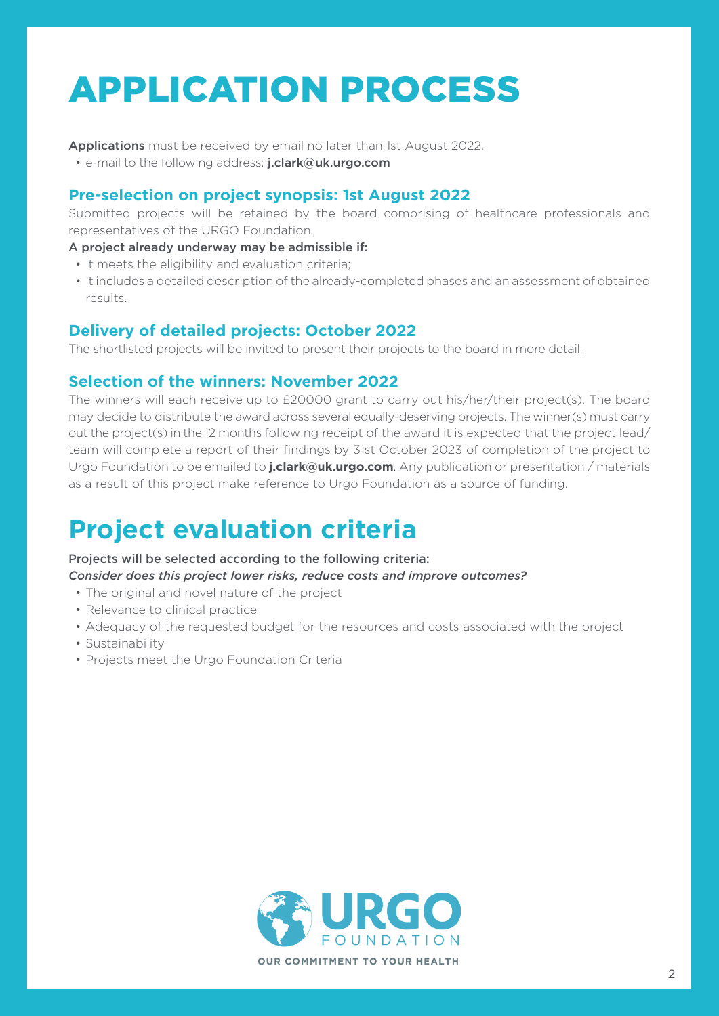# APPLICATION PROCESS

Applications must be received by email no later than 1st August 2022.

• e-mail to the following address: j.clark@uk.urgo.com

### **Pre-selection on project synopsis: 1st August 2022**

Submitted projects will be retained by the board comprising of healthcare professionals and representatives of the URGO Foundation.

- A project already underway may be admissible if:
- it meets the eligibility and evaluation criteria;
- it includes a detailed description of the already-completed phases and an assessment of obtained results.

# **Delivery of detailed projects: October 2022**

The shortlisted projects will be invited to present their projects to the board in more detail.

## **Selection of the winners: November 2022**

The winners will each receive up to £20000 grant to carry out his/her/their project(s). The board may decide to distribute the award across several equally-deserving projects. The winner(s) must carry out the project(s) in the 12 months following receipt of the award it is expected that the project lead/ team will complete a report of their findings by 31st October 2023 of completion of the project to Urgo Foundation to be emailed to **j.clark@uk.urgo.com**. Any publication or presentation / materials as a result of this project make reference to Urgo Foundation as a source of funding.

# **Project evaluation criteria**

#### Projects will be selected according to the following criteria:

*Consider does this project lower risks, reduce costs and improve outcomes?*

- The original and novel nature of the project
- Relevance to clinical practice
- Adequacy of the requested budget for the resources and costs associated with the project
- Sustainability
- Projects meet the Urgo Foundation Criteria

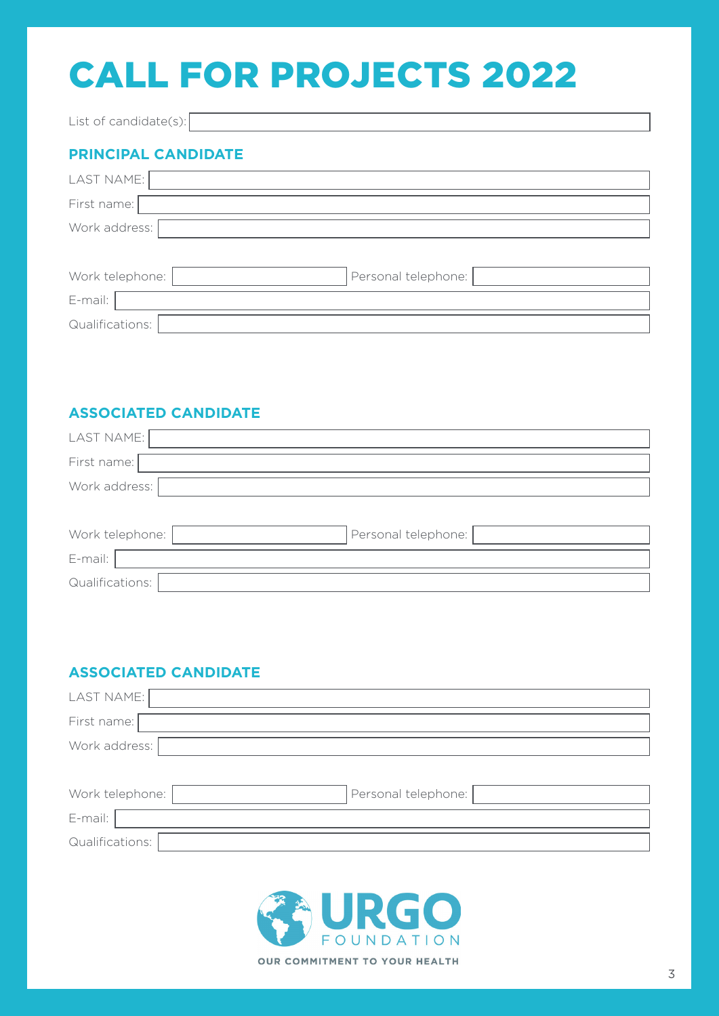# CALL FOR PROJECTS 2022

List of candidate(s):

# **PRINCIPAL CANDIDATE**

| LAST NAME:      |                     |
|-----------------|---------------------|
| First name:     |                     |
| Work address:   |                     |
|                 |                     |
| Work telephone: | Personal telephone: |
| E-mail:         |                     |
| Qualifications: |                     |

## **ASSOCIATED CANDIDATE**

| LAST NAME:      |                     |
|-----------------|---------------------|
| First name:     |                     |
| Work address:   |                     |
|                 |                     |
| Work telephone: | Personal telephone: |
| E-mail:         |                     |
| Qualifications: |                     |

# **ASSOCIATED CANDIDATE**

| LAST NAME:      |                     |
|-----------------|---------------------|
| First name:     |                     |
| Work address:   |                     |
|                 |                     |
| Work telephone: | Personal telephone: |
| E-mail:         |                     |
| Qualifications: |                     |

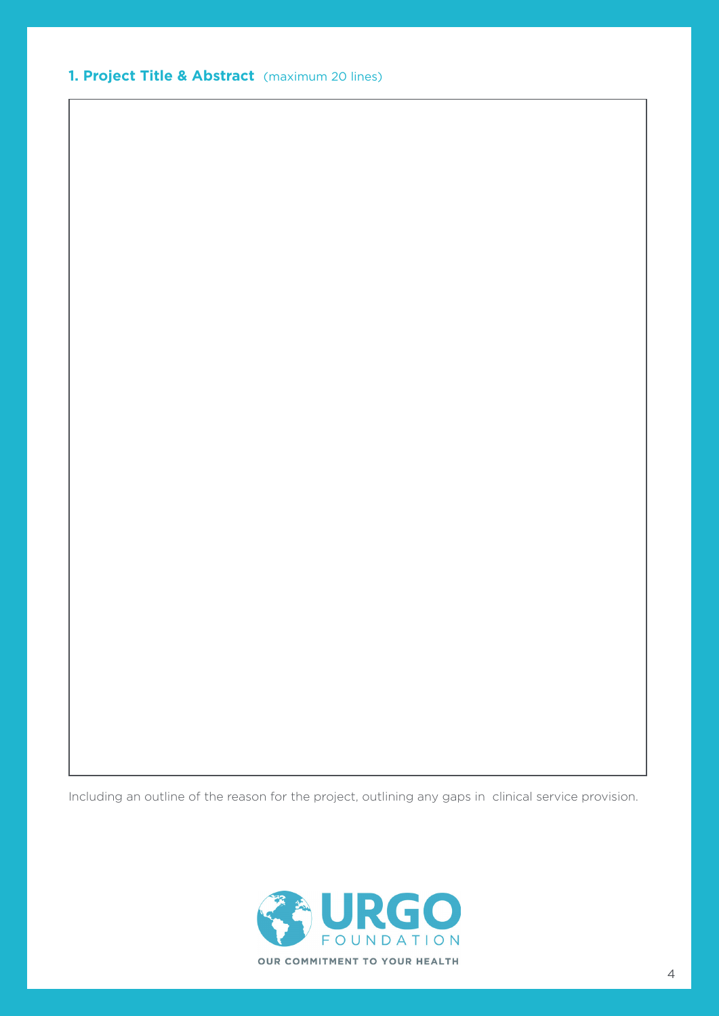**1. Project Title & Abstract** (maximum 20 lines)

Including an outline of the reason for the project, outlining any gaps in clinical service provision.

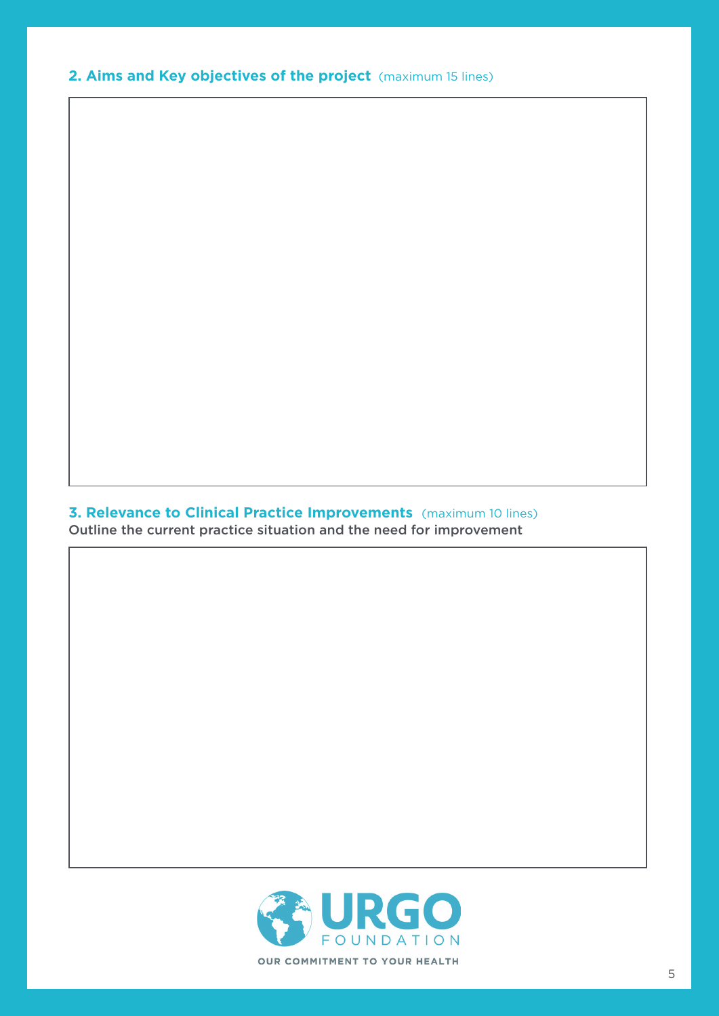**2. Aims and Key objectives of the project** (maximum 15 lines)

# **3. Relevance to Clinical Practice Improvements** (maximum 10 lines)

Outline the current practice situation and the need for improvement

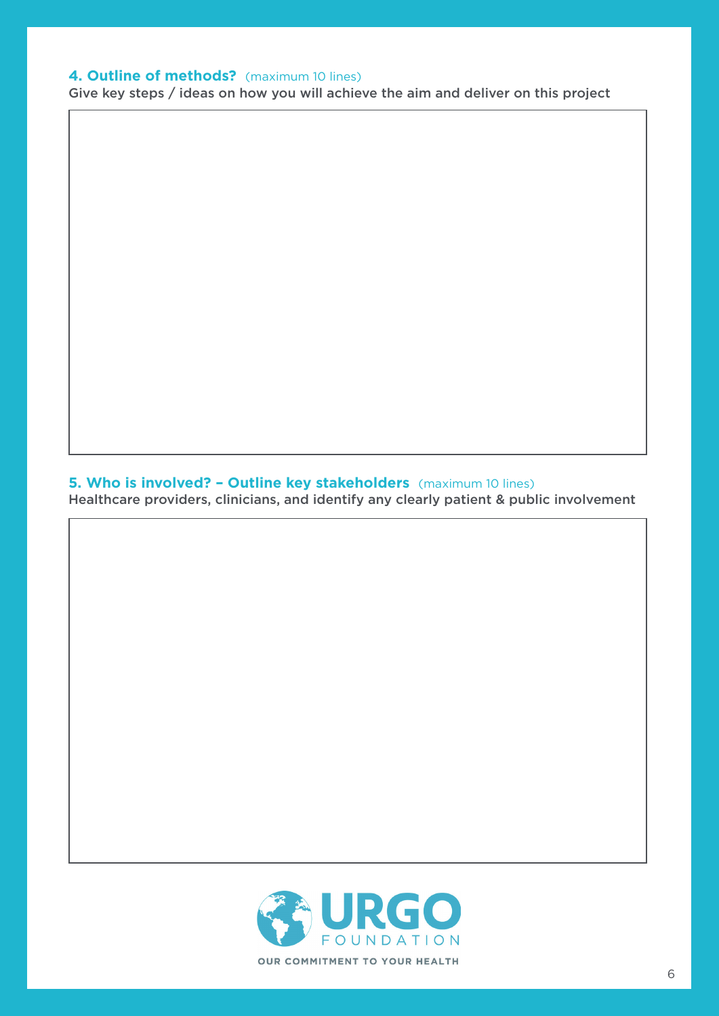#### **4. Outline of methods?** (maximum 10 lines)

Give key steps / ideas on how you will achieve the aim and deliver on this project

#### **5. Who is involved? - Outline key stakeholders** (maximum 10 lines)

Healthcare providers, clinicians, and identify any clearly patient & public involvement

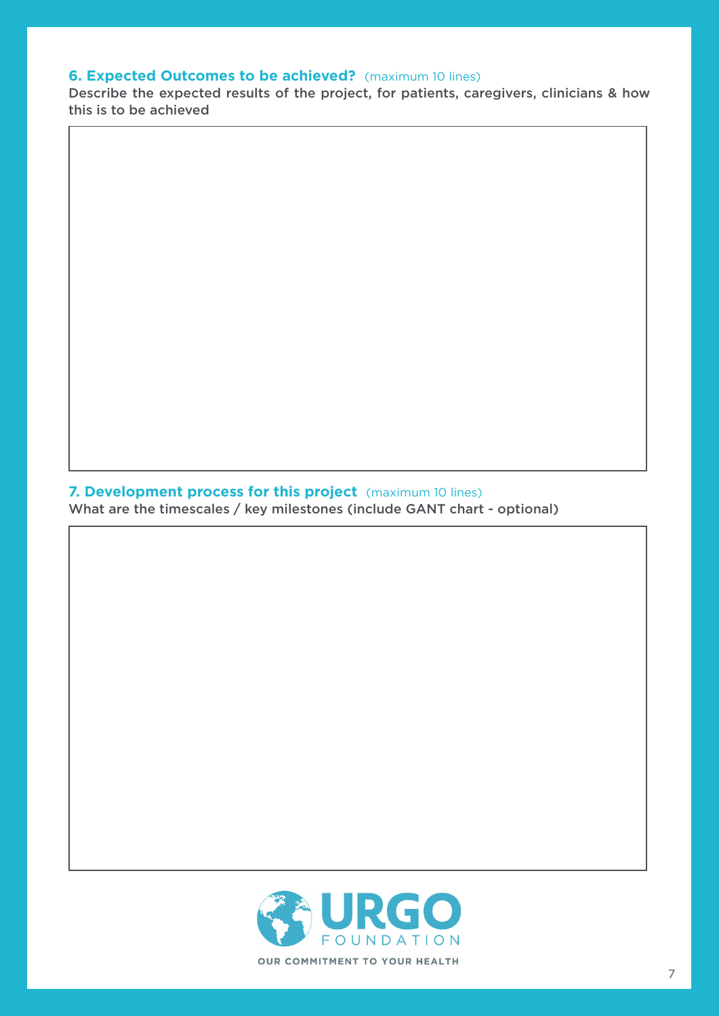#### **6. Expected Outcomes to be achieved?** (maximum 10 lines)

Describe the expected results of the project, for patients, caregivers, clinicians & how this is to be achieved

#### **7. Development process for this project** (maximum 10 lines)

What are the timescales / key milestones (include GANT chart - optional)

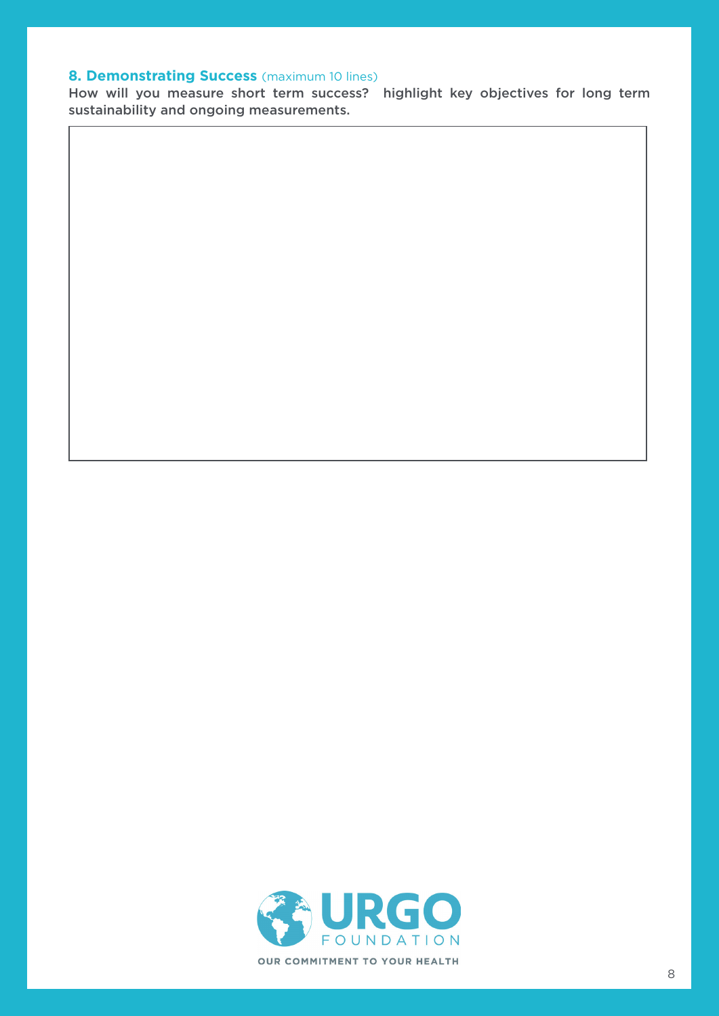#### **8. Demonstrating Success** (maximum 10 lines)

How will you measure short term success? highlight key objectives for long term sustainability and ongoing measurements.

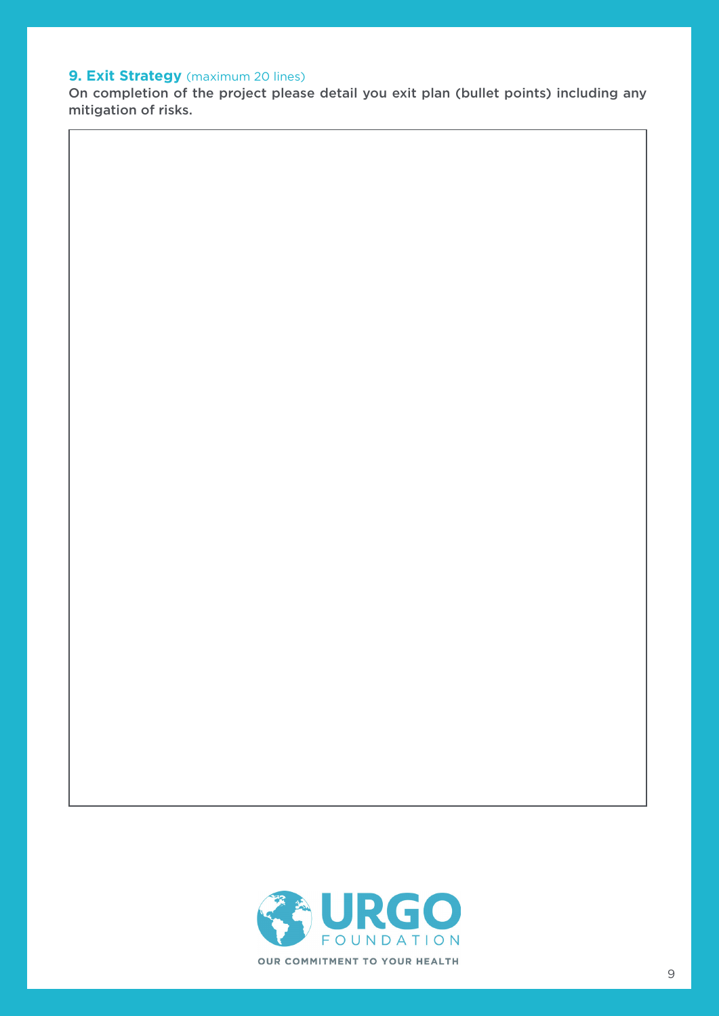## **9. Exit Strategy** (maximum 20 lines)

On completion of the project please detail you exit plan (bullet points) including any mitigation of risks.

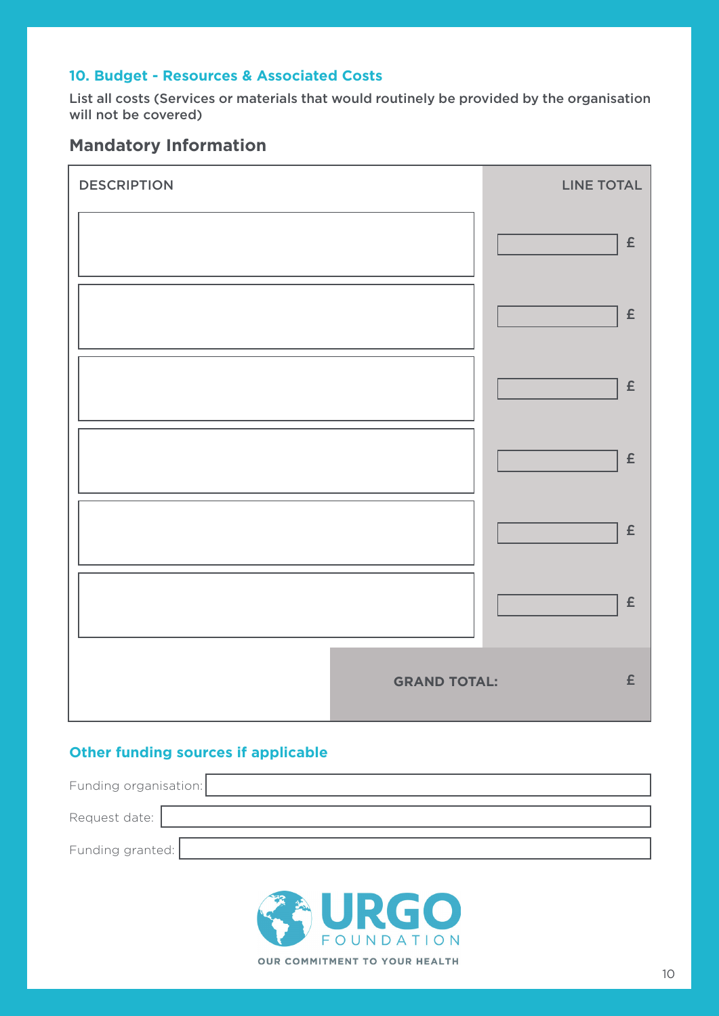#### **10. Budget - Resources & Associated Costs**

List all costs (Services or materials that would routinely be provided by the organisation will not be covered)

# **Mandatory Information**

| <b>DESCRIPTION</b> | <b>LINE TOTAL</b>                         |
|--------------------|-------------------------------------------|
|                    | $\pmb{\mathsf{E}}$                        |
|                    | $\pmb{\mathsf{E}}$                        |
|                    | $\pmb{\mathsf{E}}$                        |
|                    | $\pmb{\mathsf{E}}$                        |
|                    | $\pmb{\mathsf{E}}$                        |
|                    | $\pmb{\mathsf{E}}$                        |
|                    | $\pmb{\mathsf{E}}$<br><b>GRAND TOTAL:</b> |

### **Other funding sources if applicable**

| Funding organisation: |  |
|-----------------------|--|
| Request date:         |  |
| Funding granted:      |  |

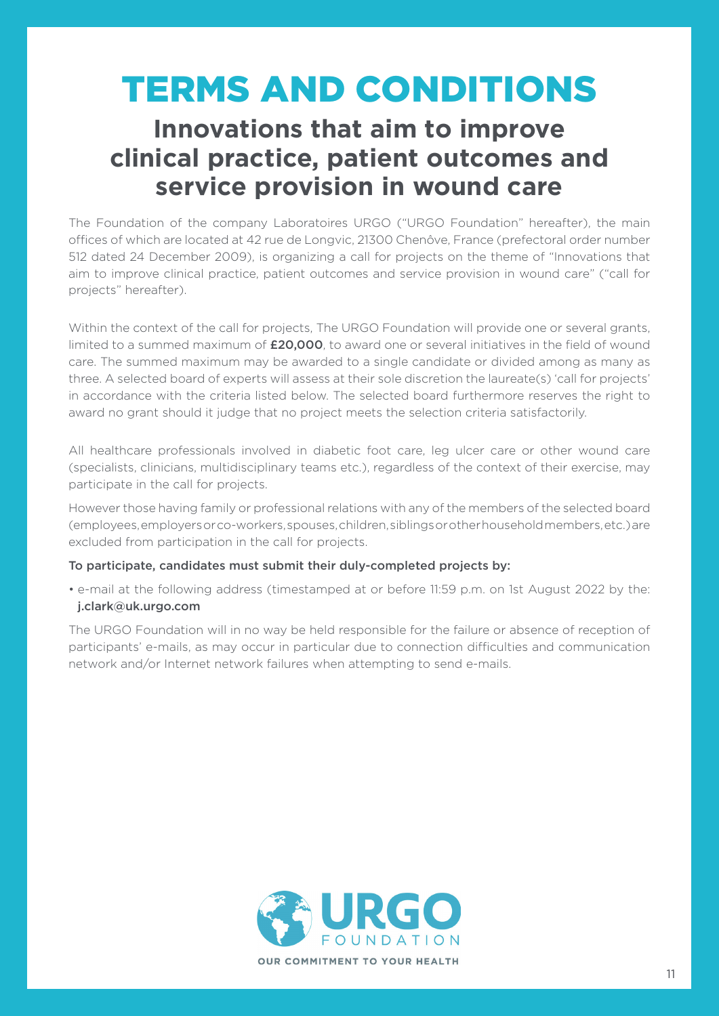# TERMS AND CONDITIONS

# **Innovations that aim to improve clinical practice, patient outcomes and service provision in wound care**

The Foundation of the company Laboratoires URGO ("URGO Foundation" hereafter), the main offices of which are located at 42 rue de Longvic, 21300 Chenôve, France (prefectoral order number 512 dated 24 December 2009), is organizing a call for projects on the theme of "Innovations that aim to improve clinical practice, patient outcomes and service provision in wound care" ("call for projects" hereafter).

Within the context of the call for projects. The URGO Foundation will provide one or several grants, limited to a summed maximum of  $£20,000$ , to award one or several initiatives in the field of wound care. The summed maximum may be awarded to a single candidate or divided among as many as three. A selected board of experts will assess at their sole discretion the laureate(s) 'call for projects' in accordance with the criteria listed below. The selected board furthermore reserves the right to award no grant should it judge that no project meets the selection criteria satisfactorily.

All healthcare professionals involved in diabetic foot care, leg ulcer care or other wound care (specialists, clinicians, multidisciplinary teams etc.), regardless of the context of their exercise, may participate in the call for projects.

However those having family or professional relations with any of the members of the selected board (employees, employers or co-workers, spouses, children, siblings or other household members, etc.) are excluded from participation in the call for projects.

#### To participate, candidates must submit their duly-completed projects by:

• e-mail at the following address (timestamped at or before 11:59 p.m. on 1st August 2022 by the: j.clark@uk.urgo.com

The URGO Foundation will in no way be held responsible for the failure or absence of reception of participants' e-mails, as may occur in particular due to connection difficulties and communication network and/or Internet network failures when attempting to send e-mails.

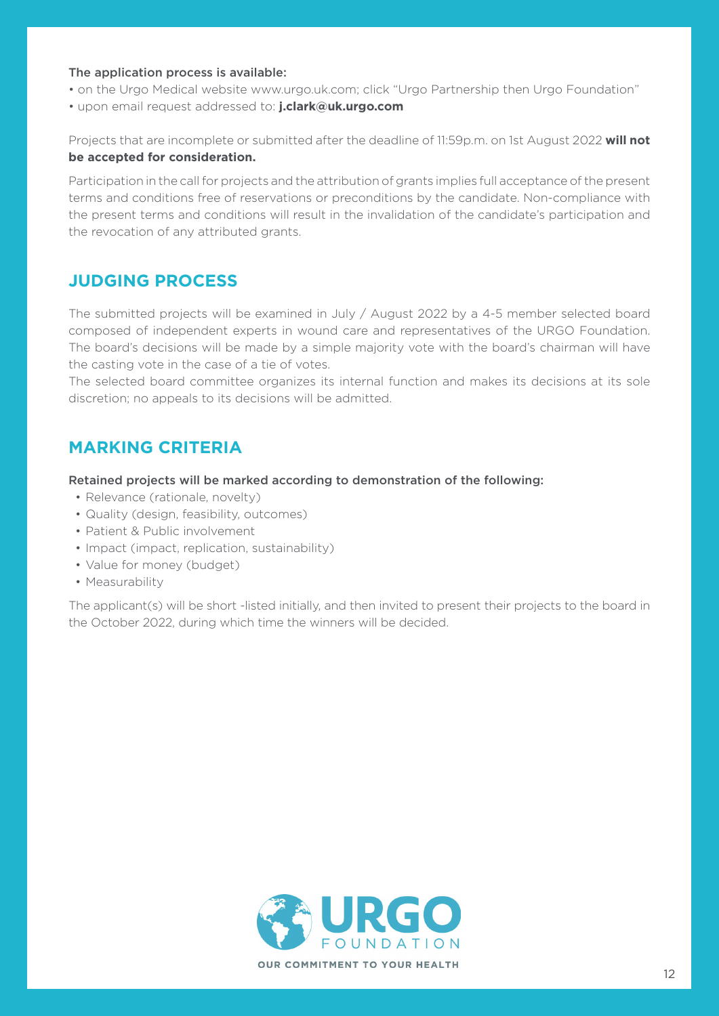#### The application process is available:

- on the Urgo Medical website www.urgo.uk.com; click "Urgo Partnership then Urgo Foundation"
- upon email request addressed to: **j.clark@uk.urgo.com**

Projects that are incomplete or submitted after the deadline of 11:59p.m. on 1st August 2022 **will not be accepted for consideration.**

Participation in the call for projects and the attribution of grants implies full acceptance of the present terms and conditions free of reservations or preconditions by the candidate. Non-compliance with the present terms and conditions will result in the invalidation of the candidate's participation and the revocation of any attributed grants.

# **JUDGING PROCESS**

The submitted projects will be examined in July / August 2022 by a 4-5 member selected board composed of independent experts in wound care and representatives of the URGO Foundation. The board's decisions will be made by a simple majority vote with the board's chairman will have the casting vote in the case of a tie of votes.

The selected board committee organizes its internal function and makes its decisions at its sole discretion; no appeals to its decisions will be admitted.

# **MARKING CRITERIA**

Retained projects will be marked according to demonstration of the following:

- Relevance (rationale, novelty)
- Quality (design, feasibility, outcomes)
- Patient & Public involvement
- Impact (impact, replication, sustainability)
- Value for money (budget)
- Measurability

The applicant(s) will be short -listed initially, and then invited to present their projects to the board in the October 2022, during which time the winners will be decided.

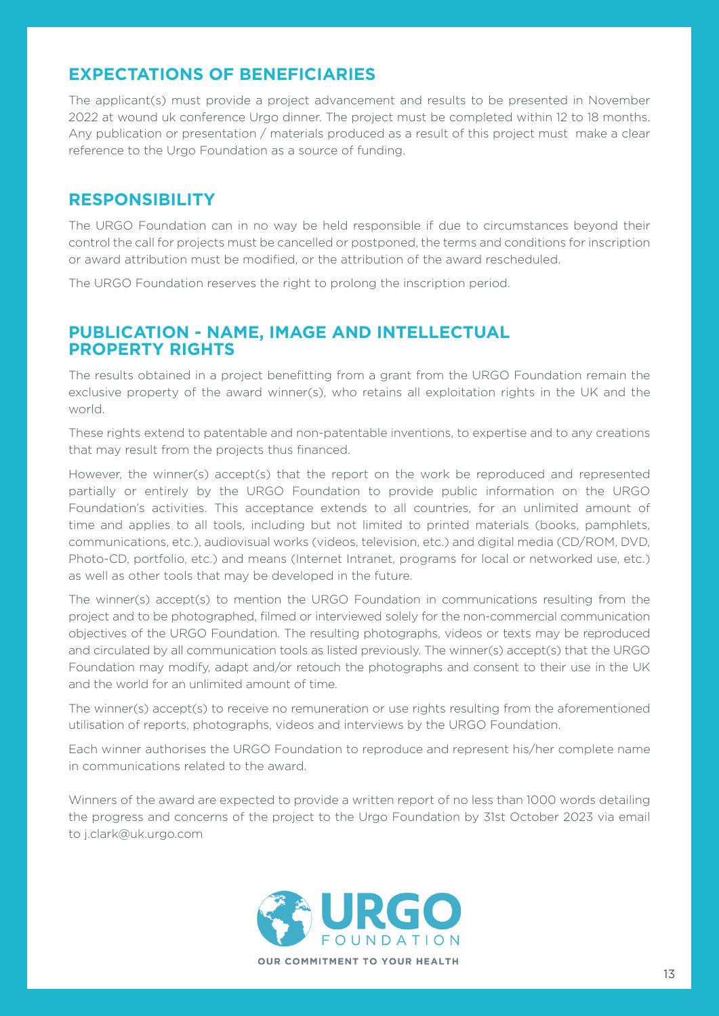# **EXPECTATIONS OF BENEFICIARIES**

The applicant(s) must provide a project advancement and results to be presented in November 2022 at wound uk conference Urgo dinner. The project must be completed within 12 to 18 months. Any publication or presentation / materials produced as a result of this project must make a clear reference to the Urgo Foundation as a source of funding.

# **RESPONSIBILITY**

The URGO Foundation can in no way be held responsible if due to circumstances beyond their control the call for projects must be cancelled or postponed, the terms and conditions for inscription or award attribution must be modified, or the attribution of the award rescheduled.

The URGO Foundation reserves the right to prolong the inscription period.

# **PUBLICATION - NAME, IMAGE AND INTELLECTUAL PROPERTY RIGHTS**

The results obtained in a project benefitting from a grant from the URGO Foundation remain the exclusive property of the award winner(s), who retains all exploitation rights in the UK and the world.

These rights extend to patentable and non-patentable inventions, to expertise and to any creations that may result from the projects thus financed.

However, the winner(s) accept(s) that the report on the work be reproduced and represented partially or entirely by the URGO Foundation to provide public information on the URGO Foundation's activities. This acceptance extends to all countries, for an unlimited amount of time and applies to all tools, including but not limited to printed materials (books, pamphlets, communications, etc.), audiovisual works (videos, television, etc.) and digital media (CD/ROM, DVD, Photo-CD, portfolio, etc.) and means (Internet Intranet, programs for local or networked use, etc.) as well as other tools that may be developed in the future.

The winner(s) accept(s) to mention the URGO Foundation in communications resulting from the project and to be photographed, filmed or interviewed solely for the non-commercial communication objectives of the URGO Foundation. The resulting photographs, videos or texts may be reproduced and circulated by all communication tools as listed previously. The winner(s) accept(s) that the URGO Foundation may modify, adapt and/or retouch the photographs and consent to their use in the UK and the world for an unlimited amount of time.

The winner(s) accept(s) to receive no remuneration or use rights resulting from the aforementioned utilisation of reports, photographs, videos and interviews by the URGO Foundation.

Each winner authorises the URGO Foundation to reproduce and represent his/her complete name in communications related to the award.

Winners of the award are expected to provide a written report of no less than 1000 words detailing the progress and concerns of the project to the Urgo Foundation by 31st October 2023 via email to j.clark@uk.urgo.com